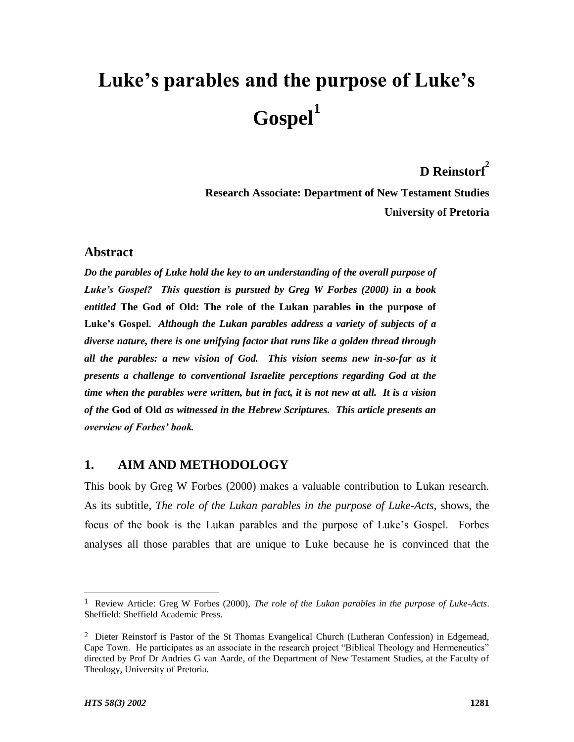# **Luke's parables and the purpose of Luke's Gospel<sup>1</sup>**

## **D Reinstorf<sup>2</sup>**

**Research Associate: Department of New Testament Studies University of Pretoria**

## **Abstract**

*Do the parables of Luke hold the key to an understanding of the overall purpose of Luke's Gospel? This question is pursued by Greg W Forbes (2000) in a book entitled* **The God of Old: The role of the Lukan parables in the purpose of Luke's Gospel.** *Although the Lukan parables address a variety of subjects of a diverse nature, there is one unifying factor that runs like a golden thread through all the parables: a new vision of God. This vision seems new in-so-far as it presents a challenge to conventional Israelite perceptions regarding God at the time when the parables were written, but in fact, it is not new at all. It is a vision of the* **God of Old** *as witnessed in the Hebrew Scriptures. This article presents an overview of Forbes' book.*

## **1. AIM AND METHODOLOGY**

This book by Greg W Forbes (2000) makes a valuable contribution to Lukan research. As its subtitle, *The role of the Lukan parables in the purpose of Luke-Acts,* shows, the focus of the book is the Lukan parables and the purpose of Luke's Gospel. Forbes analyses all those parables that are unique to Luke because he is convinced that the

l

<sup>1</sup> Review Article: Greg W Forbes (2000), *The role of the Lukan parables in the purpose of Luke-Acts*. Sheffield: Sheffield Academic Press.

<sup>&</sup>lt;sup>2</sup> Dieter Reinstorf is Pastor of the St Thomas Evangelical Church (Lutheran Confession) in Edgemead, Cape Town. He participates as an associate in the research project "Biblical Theology and Hermeneutics" directed by Prof Dr Andries G van Aarde, of the Department of New Testament Studies, at the Faculty of Theology, University of Pretoria.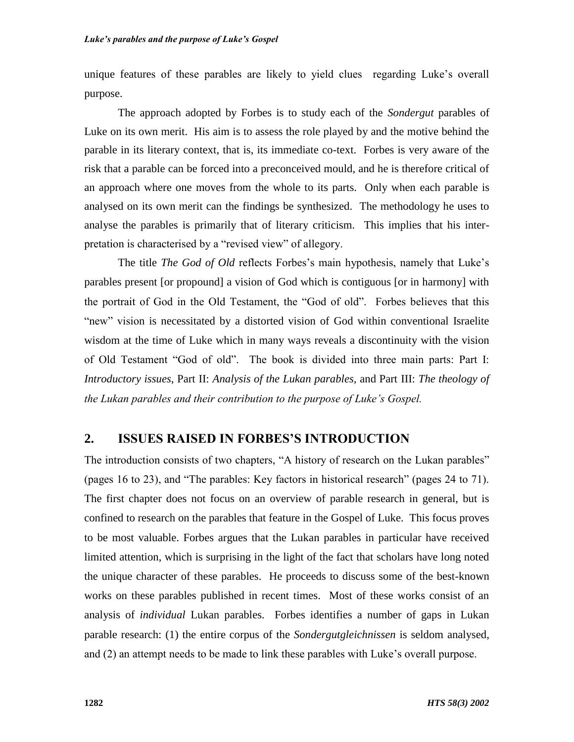unique features of these parables are likely to yield clues regarding Luke's overall purpose.

The approach adopted by Forbes is to study each of the *Sondergut* parables of Luke on its own merit. His aim is to assess the role played by and the motive behind the parable in its literary context, that is, its immediate co-text. Forbes is very aware of the risk that a parable can be forced into a preconceived mould, and he is therefore critical of an approach where one moves from the whole to its parts. Only when each parable is analysed on its own merit can the findings be synthesized. The methodology he uses to analyse the parables is primarily that of literary criticism. This implies that his interpretation is characterised by a "revised view" of allegory.

The title *The God of Old* reflects Forbes's main hypothesis, namely that Luke's parables present [or propound] a vision of God which is contiguous [or in harmony] with the portrait of God in the Old Testament, the "God of old". Forbes believes that this "new" vision is necessitated by a distorted vision of God within conventional Israelite wisdom at the time of Luke which in many ways reveals a discontinuity with the vision of Old Testament "God of old". The book is divided into three main parts: Part I: *Introductory issues*, Part II: *Analysis of the Lukan parables,* and Part III: *The theology of the Lukan parables and their contribution to the purpose of Luke's Gospel.*

## **2. ISSUES RAISED IN FORBES'S INTRODUCTION**

The introduction consists of two chapters, "A history of research on the Lukan parables" (pages 16 to 23), and "The parables: Key factors in historical research" (pages 24 to 71). The first chapter does not focus on an overview of parable research in general, but is confined to research on the parables that feature in the Gospel of Luke. This focus proves to be most valuable. Forbes argues that the Lukan parables in particular have received limited attention, which is surprising in the light of the fact that scholars have long noted the unique character of these parables. He proceeds to discuss some of the best-known works on these parables published in recent times. Most of these works consist of an analysis of *individual* Lukan parables. Forbes identifies a number of gaps in Lukan parable research: (1) the entire corpus of the *Sondergutgleichnissen* is seldom analysed, and (2) an attempt needs to be made to link these parables with Luke's overall purpose.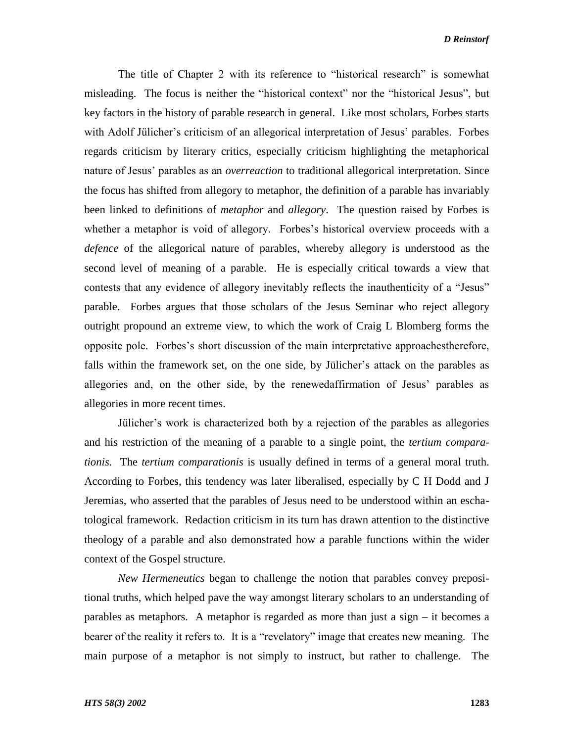#### *D Reinstorf*

The title of Chapter 2 with its reference to "historical research" is somewhat misleading. The focus is neither the "historical context" nor the "historical Jesus", but key factors in the history of parable research in general. Like most scholars, Forbes starts with Adolf Jülicher's criticism of an allegorical interpretation of Jesus' parables. Forbes regards criticism by literary critics, especially criticism highlighting the metaphorical nature of Jesus' parables as an *overreaction* to traditional allegorical interpretation. Since the focus has shifted from allegory to metaphor, the definition of a parable has invariably been linked to definitions of *metaphor* and *allegory*. The question raised by Forbes is whether a metaphor is void of allegory. Forbes's historical overview proceeds with a *defence* of the allegorical nature of parables, whereby allegory is understood as the second level of meaning of a parable. He is especially critical towards a view that contests that any evidence of allegory inevitably reflects the inauthenticity of a "Jesus" parable. Forbes argues that those scholars of the Jesus Seminar who reject allegory outright propound an extreme view, to which the work of Craig L Blomberg forms the opposite pole. Forbes's short discussion of the main interpretative approachestherefore, falls within the framework set, on the one side, by Jülicher's attack on the parables as allegories and, on the other side, by the renewedaffirmation of Jesus' parables as allegories in more recent times.

Jülicher's work is characterized both by a rejection of the parables as allegories and his restriction of the meaning of a parable to a single point, the *tertium comparationis.* The *tertium comparationis* is usually defined in terms of a general moral truth. According to Forbes, this tendency was later liberalised, especially by C H Dodd and J Jeremias, who asserted that the parables of Jesus need to be understood within an eschatological framework. Redaction criticism in its turn has drawn attention to the distinctive theology of a parable and also demonstrated how a parable functions within the wider context of the Gospel structure.

*New Hermeneutics* began to challenge the notion that parables convey prepositional truths, which helped pave the way amongst literary scholars to an understanding of parables as metaphors. A metaphor is regarded as more than just a sign – it becomes a bearer of the reality it refers to. It is a "revelatory" image that creates new meaning. The main purpose of a metaphor is not simply to instruct, but rather to challenge. The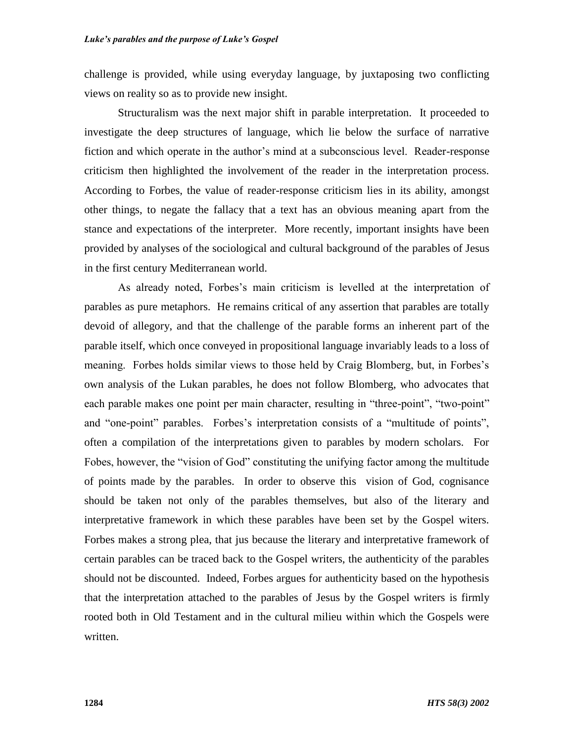challenge is provided, while using everyday language, by juxtaposing two conflicting views on reality so as to provide new insight.

Structuralism was the next major shift in parable interpretation. It proceeded to investigate the deep structures of language, which lie below the surface of narrative fiction and which operate in the author's mind at a subconscious level. Reader-response criticism then highlighted the involvement of the reader in the interpretation process. According to Forbes, the value of reader-response criticism lies in its ability, amongst other things, to negate the fallacy that a text has an obvious meaning apart from the stance and expectations of the interpreter. More recently, important insights have been provided by analyses of the sociological and cultural background of the parables of Jesus in the first century Mediterranean world.

As already noted, Forbes's main criticism is levelled at the interpretation of parables as pure metaphors. He remains critical of any assertion that parables are totally devoid of allegory, and that the challenge of the parable forms an inherent part of the parable itself, which once conveyed in propositional language invariably leads to a loss of meaning. Forbes holds similar views to those held by Craig Blomberg, but, in Forbes's own analysis of the Lukan parables, he does not follow Blomberg, who advocates that each parable makes one point per main character, resulting in "three-point", "two-point" and "one-point" parables. Forbes's interpretation consists of a "multitude of points", often a compilation of the interpretations given to parables by modern scholars. For Fobes, however, the "vision of God" constituting the unifying factor among the multitude of points made by the parables. In order to observe this vision of God, cognisance should be taken not only of the parables themselves, but also of the literary and interpretative framework in which these parables have been set by the Gospel witers. Forbes makes a strong plea, that jus because the literary and interpretative framework of certain parables can be traced back to the Gospel writers, the authenticity of the parables should not be discounted. Indeed, Forbes argues for authenticity based on the hypothesis that the interpretation attached to the parables of Jesus by the Gospel writers is firmly rooted both in Old Testament and in the cultural milieu within which the Gospels were written.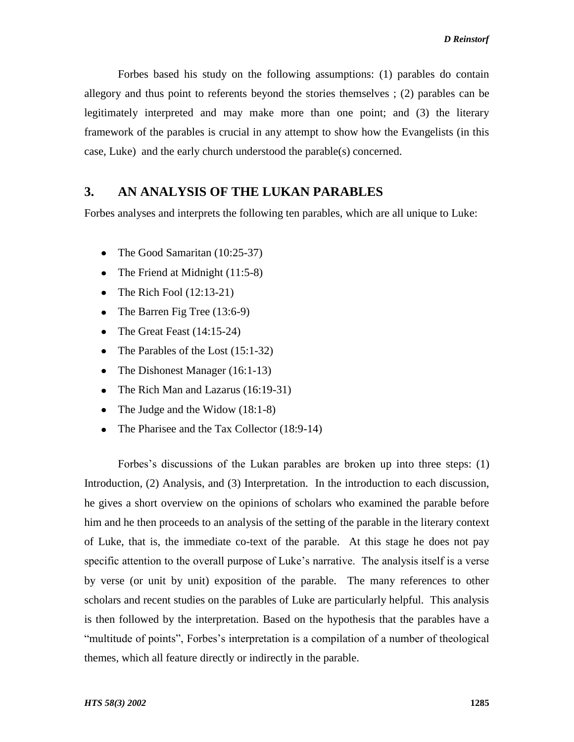Forbes based his study on the following assumptions: (1) parables do contain allegory and thus point to referents beyond the stories themselves ; (2) parables can be legitimately interpreted and may make more than one point; and (3) the literary framework of the parables is crucial in any attempt to show how the Evangelists (in this case, Luke) and the early church understood the parable(s) concerned.

## **3. AN ANALYSIS OF THE LUKAN PARABLES**

Forbes analyses and interprets the following ten parables, which are all unique to Luke:

- The Good Samaritan (10:25-37)  $\bullet$
- The Friend at Midnight (11:5-8)  $\bullet$
- $\bullet$ The Rich Fool (12:13-21)
- The Barren Fig Tree (13:6-9)  $\bullet$
- The Great Feast (14:15-24)  $\bullet$
- The Parables of the Lost (15:1-32)
- The Dishonest Manager (16:1-13)
- The Rich Man and Lazarus (16:19-31)
- The Judge and the Widow (18:1-8)
- The Pharisee and the Tax Collector (18:9-14)  $\bullet$

Forbes's discussions of the Lukan parables are broken up into three steps: (1) Introduction, (2) Analysis, and (3) Interpretation. In the introduction to each discussion, he gives a short overview on the opinions of scholars who examined the parable before him and he then proceeds to an analysis of the setting of the parable in the literary context of Luke, that is, the immediate co-text of the parable. At this stage he does not pay specific attention to the overall purpose of Luke's narrative. The analysis itself is a verse by verse (or unit by unit) exposition of the parable. The many references to other scholars and recent studies on the parables of Luke are particularly helpful. This analysis is then followed by the interpretation. Based on the hypothesis that the parables have a "multitude of points", Forbes's interpretation is a compilation of a number of theological themes, which all feature directly or indirectly in the parable.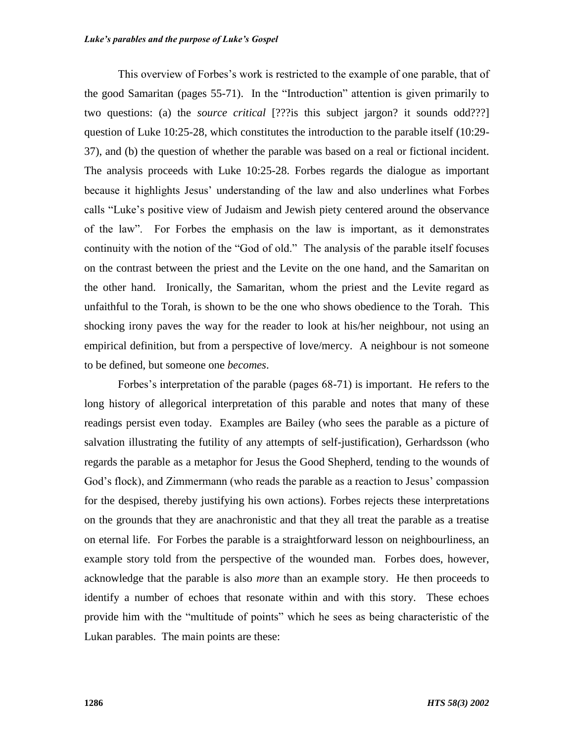This overview of Forbes's work is restricted to the example of one parable, that of the good Samaritan (pages 55-71). In the "Introduction" attention is given primarily to two questions: (a) the *source critical* [???is this subject jargon? it sounds odd???] question of Luke 10:25-28, which constitutes the introduction to the parable itself (10:29- 37), and (b) the question of whether the parable was based on a real or fictional incident. The analysis proceeds with Luke 10:25-28. Forbes regards the dialogue as important because it highlights Jesus' understanding of the law and also underlines what Forbes calls "Luke's positive view of Judaism and Jewish piety centered around the observance of the law". For Forbes the emphasis on the law is important, as it demonstrates continuity with the notion of the "God of old." The analysis of the parable itself focuses on the contrast between the priest and the Levite on the one hand, and the Samaritan on the other hand. Ironically, the Samaritan, whom the priest and the Levite regard as unfaithful to the Torah, is shown to be the one who shows obedience to the Torah. This shocking irony paves the way for the reader to look at his/her neighbour, not using an empirical definition, but from a perspective of love/mercy. A neighbour is not someone to be defined, but someone one *becomes*.

Forbes's interpretation of the parable (pages 68-71) is important. He refers to the long history of allegorical interpretation of this parable and notes that many of these readings persist even today. Examples are Bailey (who sees the parable as a picture of salvation illustrating the futility of any attempts of self-justification), Gerhardsson (who regards the parable as a metaphor for Jesus the Good Shepherd, tending to the wounds of God's flock), and Zimmermann (who reads the parable as a reaction to Jesus' compassion for the despised, thereby justifying his own actions). Forbes rejects these interpretations on the grounds that they are anachronistic and that they all treat the parable as a treatise on eternal life. For Forbes the parable is a straightforward lesson on neighbourliness, an example story told from the perspective of the wounded man. Forbes does, however, acknowledge that the parable is also *more* than an example story. He then proceeds to identify a number of echoes that resonate within and with this story. These echoes provide him with the "multitude of points" which he sees as being characteristic of the Lukan parables. The main points are these: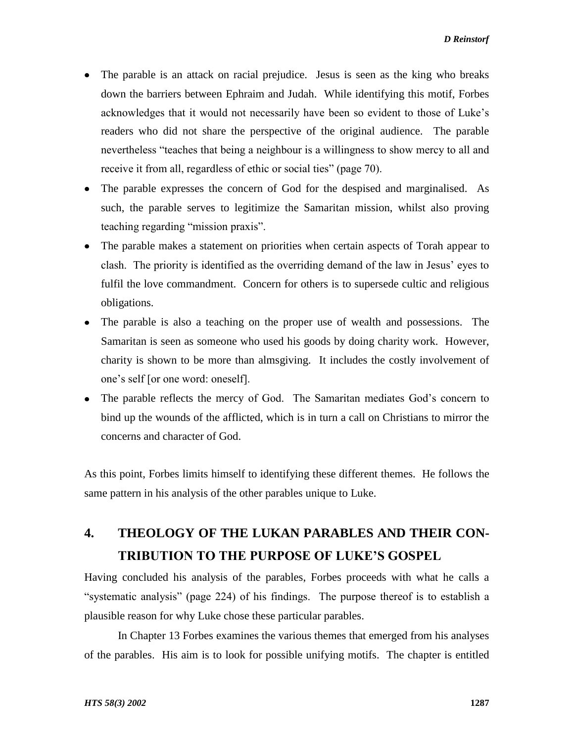- The parable is an attack on racial prejudice. Jesus is seen as the king who breaks down the barriers between Ephraim and Judah. While identifying this motif, Forbes acknowledges that it would not necessarily have been so evident to those of Luke's readers who did not share the perspective of the original audience. The parable nevertheless "teaches that being a neighbour is a willingness to show mercy to all and receive it from all, regardless of ethic or social ties" (page 70).
- The parable expresses the concern of God for the despised and marginalised. As such, the parable serves to legitimize the Samaritan mission, whilst also proving teaching regarding "mission praxis".
- The parable makes a statement on priorities when certain aspects of Torah appear to clash. The priority is identified as the overriding demand of the law in Jesus' eyes to fulfil the love commandment. Concern for others is to supersede cultic and religious obligations.
- The parable is also a teaching on the proper use of wealth and possessions. The Samaritan is seen as someone who used his goods by doing charity work. However, charity is shown to be more than almsgiving. It includes the costly involvement of one's self [or one word: oneself].
- The parable reflects the mercy of God. The Samaritan mediates God's concern to bind up the wounds of the afflicted, which is in turn a call on Christians to mirror the concerns and character of God.

As this point, Forbes limits himself to identifying these different themes. He follows the same pattern in his analysis of the other parables unique to Luke.

# **4. THEOLOGY OF THE LUKAN PARABLES AND THEIR CON-TRIBUTION TO THE PURPOSE OF LUKE'S GOSPEL**

Having concluded his analysis of the parables, Forbes proceeds with what he calls a "systematic analysis" (page 224) of his findings. The purpose thereof is to establish a plausible reason for why Luke chose these particular parables.

In Chapter 13 Forbes examines the various themes that emerged from his analyses of the parables. His aim is to look for possible unifying motifs. The chapter is entitled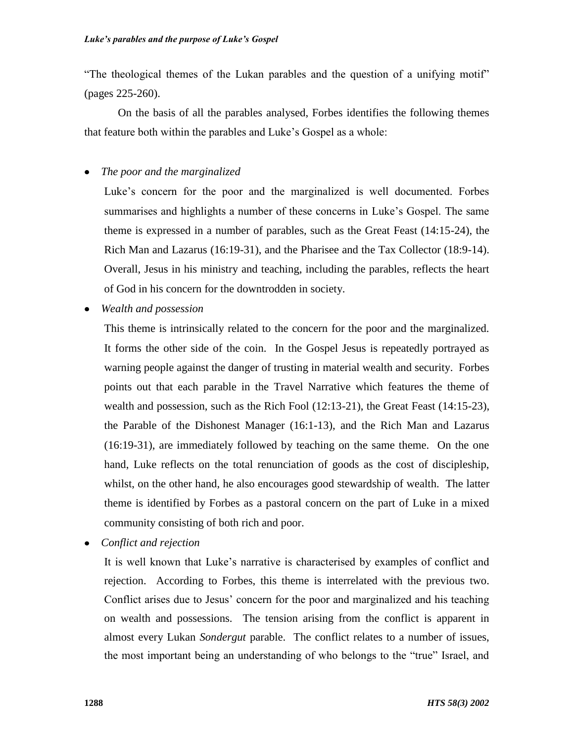"The theological themes of the Lukan parables and the question of a unifying motif" (pages 225-260).

On the basis of all the parables analysed, Forbes identifies the following themes that feature both within the parables and Luke's Gospel as a whole:

*The poor and the marginalized*  $\bullet$ 

> Luke's concern for the poor and the marginalized is well documented. Forbes summarises and highlights a number of these concerns in Luke's Gospel. The same theme is expressed in a number of parables, such as the Great Feast (14:15-24), the Rich Man and Lazarus (16:19-31), and the Pharisee and the Tax Collector (18:9-14). Overall, Jesus in his ministry and teaching, including the parables, reflects the heart of God in his concern for the downtrodden in society.

*Wealth and possession*

This theme is intrinsically related to the concern for the poor and the marginalized. It forms the other side of the coin. In the Gospel Jesus is repeatedly portrayed as warning people against the danger of trusting in material wealth and security. Forbes points out that each parable in the Travel Narrative which features the theme of wealth and possession, such as the Rich Fool (12:13-21), the Great Feast (14:15-23), the Parable of the Dishonest Manager (16:1-13), and the Rich Man and Lazarus (16:19-31), are immediately followed by teaching on the same theme. On the one hand, Luke reflects on the total renunciation of goods as the cost of discipleship, whilst, on the other hand, he also encourages good stewardship of wealth. The latter theme is identified by Forbes as a pastoral concern on the part of Luke in a mixed community consisting of both rich and poor.

*Conflict and rejection*  $\bullet$ 

> It is well known that Luke's narrative is characterised by examples of conflict and rejection. According to Forbes, this theme is interrelated with the previous two. Conflict arises due to Jesus' concern for the poor and marginalized and his teaching on wealth and possessions. The tension arising from the conflict is apparent in almost every Lukan *Sondergut* parable. The conflict relates to a number of issues, the most important being an understanding of who belongs to the "true" Israel, and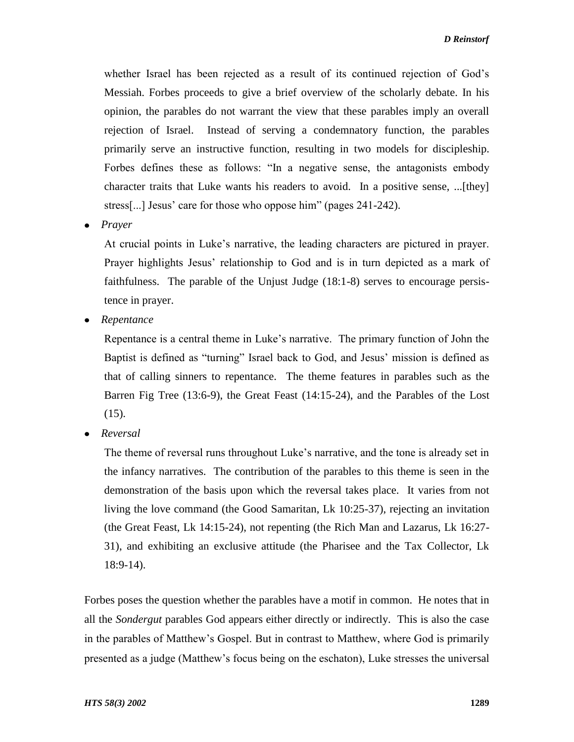whether Israel has been rejected as a result of its continued rejection of God's Messiah. Forbes proceeds to give a brief overview of the scholarly debate. In his opinion, the parables do not warrant the view that these parables imply an overall rejection of Israel. Instead of serving a condemnatory function, the parables primarily serve an instructive function, resulting in two models for discipleship. Forbes defines these as follows: "In a negative sense, the antagonists embody character traits that Luke wants his readers to avoid. In a positive sense, ...[they] stress[...] Jesus' care for those who oppose him" (pages 241-242).

*Prayer*

At crucial points in Luke's narrative, the leading characters are pictured in prayer. Prayer highlights Jesus' relationship to God and is in turn depicted as a mark of faithfulness. The parable of the Unjust Judge (18:1-8) serves to encourage persistence in prayer.

*Repentance*

Repentance is a central theme in Luke's narrative. The primary function of John the Baptist is defined as "turning" Israel back to God, and Jesus' mission is defined as that of calling sinners to repentance. The theme features in parables such as the Barren Fig Tree (13:6-9), the Great Feast (14:15-24), and the Parables of the Lost  $(15)$ .

*Reversal*

The theme of reversal runs throughout Luke's narrative, and the tone is already set in the infancy narratives. The contribution of the parables to this theme is seen in the demonstration of the basis upon which the reversal takes place. It varies from not living the love command (the Good Samaritan, Lk 10:25-37), rejecting an invitation (the Great Feast, Lk 14:15-24), not repenting (the Rich Man and Lazarus, Lk 16:27- 31), and exhibiting an exclusive attitude (the Pharisee and the Tax Collector, Lk 18:9-14).

Forbes poses the question whether the parables have a motif in common. He notes that in all the *Sondergut* parables God appears either directly or indirectly. This is also the case in the parables of Matthew's Gospel. But in contrast to Matthew, where God is primarily presented as a judge (Matthew's focus being on the eschaton), Luke stresses the universal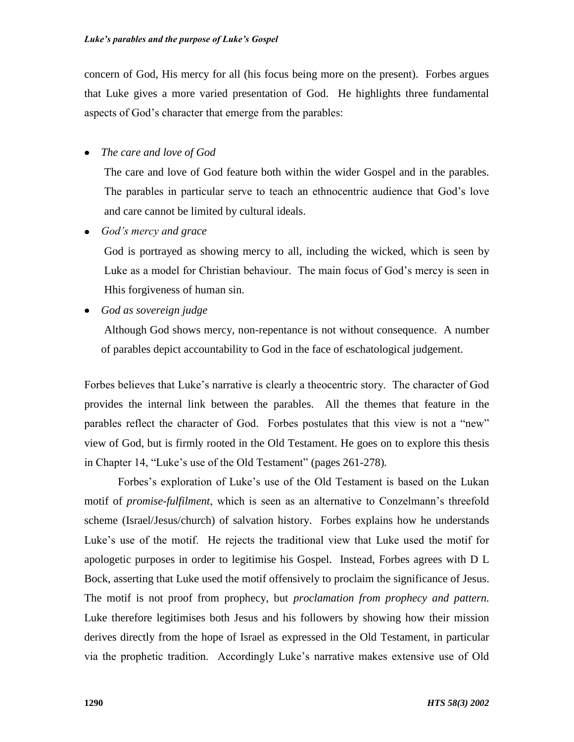concern of God, His mercy for all (his focus being more on the present). Forbes argues that Luke gives a more varied presentation of God. He highlights three fundamental aspects of God's character that emerge from the parables:

### *The care and love of God*

The care and love of God feature both within the wider Gospel and in the parables. The parables in particular serve to teach an ethnocentric audience that God's love and care cannot be limited by cultural ideals.

*God's mercy and grace*

God is portrayed as showing mercy to all, including the wicked, which is seen by Luke as a model for Christian behaviour. The main focus of God's mercy is seen in Hhis forgiveness of human sin.

*God as sovereign judge*

Although God shows mercy, non-repentance is not without consequence. A number of parables depict accountability to God in the face of eschatological judgement.

Forbes believes that Luke's narrative is clearly a theocentric story. The character of God provides the internal link between the parables. All the themes that feature in the parables reflect the character of God. Forbes postulates that this view is not a "new" view of God, but is firmly rooted in the Old Testament. He goes on to explore this thesis in Chapter 14, "Luke's use of the Old Testament" (pages 261-278)*.*

Forbes's exploration of Luke's use of the Old Testament is based on the Lukan motif of *promise-fulfilment*, which is seen as an alternative to Conzelmann's threefold scheme (Israel/Jesus/church) of salvation history. Forbes explains how he understands Luke's use of the motif. He rejects the traditional view that Luke used the motif for apologetic purposes in order to legitimise his Gospel. Instead, Forbes agrees with D L Bock, asserting that Luke used the motif offensively to proclaim the significance of Jesus. The motif is not proof from prophecy, but *proclamation from prophecy and pattern.* Luke therefore legitimises both Jesus and his followers by showing how their mission derives directly from the hope of Israel as expressed in the Old Testament, in particular via the prophetic tradition. Accordingly Luke's narrative makes extensive use of Old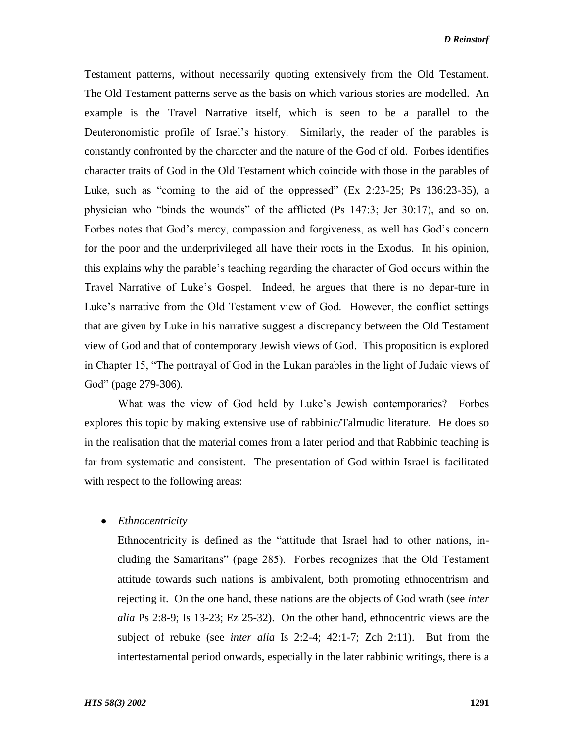Testament patterns, without necessarily quoting extensively from the Old Testament. The Old Testament patterns serve as the basis on which various stories are modelled. An example is the Travel Narrative itself, which is seen to be a parallel to the Deuteronomistic profile of Israel's history. Similarly, the reader of the parables is constantly confronted by the character and the nature of the God of old. Forbes identifies character traits of God in the Old Testament which coincide with those in the parables of Luke, such as "coming to the aid of the oppressed" (Ex 2:23-25; Ps 136:23-35), a physician who "binds the wounds" of the afflicted (Ps 147:3; Jer 30:17), and so on. Forbes notes that God's mercy, compassion and forgiveness, as well has God's concern for the poor and the underprivileged all have their roots in the Exodus. In his opinion, this explains why the parable's teaching regarding the character of God occurs within the Travel Narrative of Luke's Gospel. Indeed, he argues that there is no depar-ture in Luke's narrative from the Old Testament view of God. However, the conflict settings that are given by Luke in his narrative suggest a discrepancy between the Old Testament view of God and that of contemporary Jewish views of God. This proposition is explored in Chapter 15, "The portrayal of God in the Lukan parables in the light of Judaic views of God" (page 279-306)*.*

What was the view of God held by Luke's Jewish contemporaries? Forbes explores this topic by making extensive use of rabbinic/Talmudic literature. He does so in the realisation that the material comes from a later period and that Rabbinic teaching is far from systematic and consistent. The presentation of God within Israel is facilitated with respect to the following areas:

*Ethnocentricity*

Ethnocentricity is defined as the "attitude that Israel had to other nations, including the Samaritans" (page 285). Forbes recognizes that the Old Testament attitude towards such nations is ambivalent, both promoting ethnocentrism and rejecting it. On the one hand, these nations are the objects of God wrath (see *inter alia* Ps 2:8-9; Is 13-23; Ez 25-32). On the other hand, ethnocentric views are the subject of rebuke (see *inter alia* Is 2:2-4; 42:1-7; Zch 2:11). But from the intertestamental period onwards, especially in the later rabbinic writings, there is a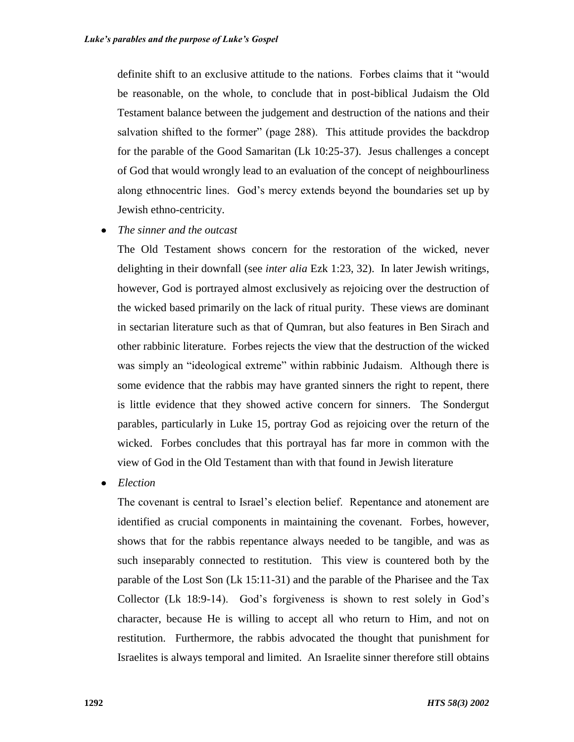definite shift to an exclusive attitude to the nations. Forbes claims that it "would be reasonable, on the whole, to conclude that in post-biblical Judaism the Old Testament balance between the judgement and destruction of the nations and their salvation shifted to the former" (page 288). This attitude provides the backdrop for the parable of the Good Samaritan (Lk 10:25-37). Jesus challenges a concept of God that would wrongly lead to an evaluation of the concept of neighbourliness along ethnocentric lines. God's mercy extends beyond the boundaries set up by Jewish ethno-centricity.

*The sinner and the outcast*

The Old Testament shows concern for the restoration of the wicked, never delighting in their downfall (see *inter alia* Ezk 1:23, 32). In later Jewish writings, however, God is portrayed almost exclusively as rejoicing over the destruction of the wicked based primarily on the lack of ritual purity. These views are dominant in sectarian literature such as that of Qumran, but also features in Ben Sirach and other rabbinic literature. Forbes rejects the view that the destruction of the wicked was simply an "ideological extreme" within rabbinic Judaism. Although there is some evidence that the rabbis may have granted sinners the right to repent, there is little evidence that they showed active concern for sinners. The Sondergut parables, particularly in Luke 15, portray God as rejoicing over the return of the wicked. Forbes concludes that this portrayal has far more in common with the view of God in the Old Testament than with that found in Jewish literature

*Election*

The covenant is central to Israel's election belief. Repentance and atonement are identified as crucial components in maintaining the covenant. Forbes, however, shows that for the rabbis repentance always needed to be tangible, and was as such inseparably connected to restitution. This view is countered both by the parable of the Lost Son (Lk 15:11-31) and the parable of the Pharisee and the Tax Collector (Lk 18:9-14). God's forgiveness is shown to rest solely in God's character, because He is willing to accept all who return to Him, and not on restitution. Furthermore, the rabbis advocated the thought that punishment for Israelites is always temporal and limited. An Israelite sinner therefore still obtains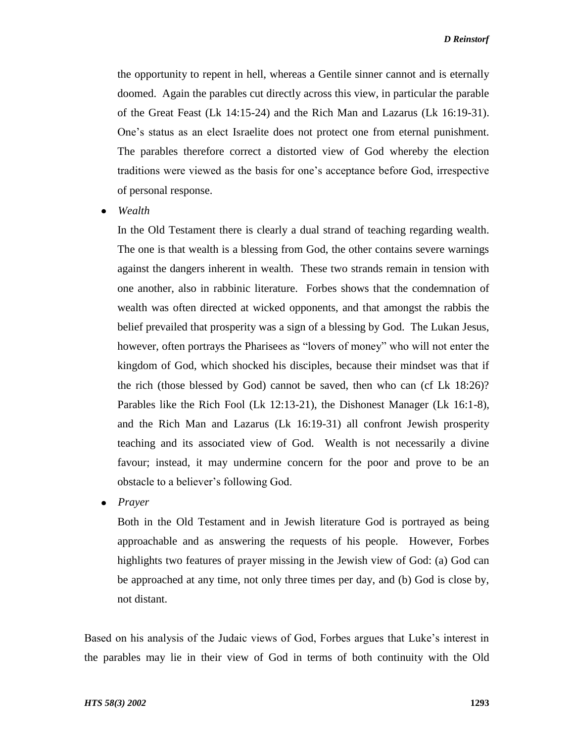the opportunity to repent in hell, whereas a Gentile sinner cannot and is eternally doomed. Again the parables cut directly across this view, in particular the parable of the Great Feast (Lk 14:15-24) and the Rich Man and Lazarus (Lk 16:19-31). One's status as an elect Israelite does not protect one from eternal punishment. The parables therefore correct a distorted view of God whereby the election traditions were viewed as the basis for one's acceptance before God, irrespective of personal response.

*Wealth*

In the Old Testament there is clearly a dual strand of teaching regarding wealth. The one is that wealth is a blessing from God, the other contains severe warnings against the dangers inherent in wealth. These two strands remain in tension with one another, also in rabbinic literature. Forbes shows that the condemnation of wealth was often directed at wicked opponents, and that amongst the rabbis the belief prevailed that prosperity was a sign of a blessing by God. The Lukan Jesus, however, often portrays the Pharisees as "lovers of money" who will not enter the kingdom of God, which shocked his disciples, because their mindset was that if the rich (those blessed by God) cannot be saved, then who can (cf Lk 18:26)? Parables like the Rich Fool (Lk 12:13-21), the Dishonest Manager (Lk 16:1-8), and the Rich Man and Lazarus (Lk 16:19-31) all confront Jewish prosperity teaching and its associated view of God. Wealth is not necessarily a divine favour; instead, it may undermine concern for the poor and prove to be an obstacle to a believer's following God.

*Prayer*

Both in the Old Testament and in Jewish literature God is portrayed as being approachable and as answering the requests of his people. However, Forbes highlights two features of prayer missing in the Jewish view of God: (a) God can be approached at any time, not only three times per day, and (b) God is close by, not distant.

Based on his analysis of the Judaic views of God, Forbes argues that Luke's interest in the parables may lie in their view of God in terms of both continuity with the Old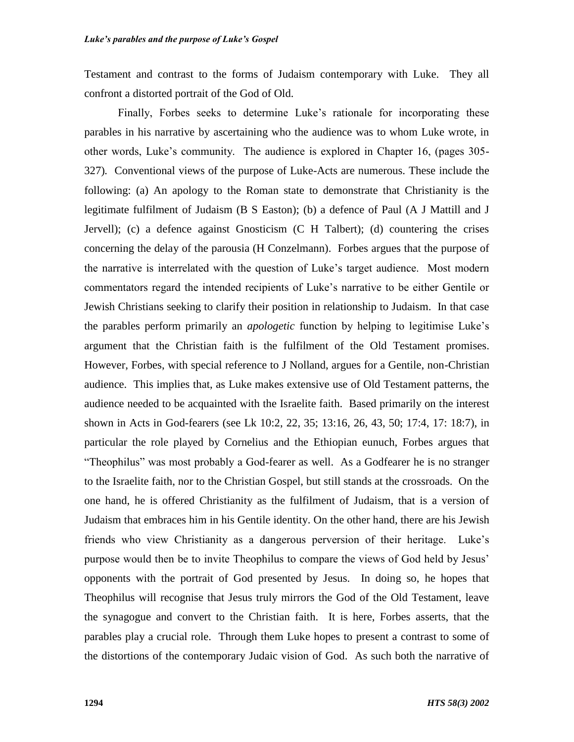Testament and contrast to the forms of Judaism contemporary with Luke. They all confront a distorted portrait of the God of Old.

Finally, Forbes seeks to determine Luke's rationale for incorporating these parables in his narrative by ascertaining who the audience was to whom Luke wrote, in other words, Luke's community. The audience is explored in Chapter 16, (pages 305- 327)*.* Conventional views of the purpose of Luke-Acts are numerous. These include the following: (a) An apology to the Roman state to demonstrate that Christianity is the legitimate fulfilment of Judaism (B S Easton); (b) a defence of Paul (A J Mattill and J Jervell); (c) a defence against Gnosticism (C H Talbert); (d) countering the crises concerning the delay of the parousia (H Conzelmann). Forbes argues that the purpose of the narrative is interrelated with the question of Luke's target audience. Most modern commentators regard the intended recipients of Luke's narrative to be either Gentile or Jewish Christians seeking to clarify their position in relationship to Judaism. In that case the parables perform primarily an *apologetic* function by helping to legitimise Luke's argument that the Christian faith is the fulfilment of the Old Testament promises. However, Forbes, with special reference to J Nolland, argues for a Gentile, non-Christian audience. This implies that, as Luke makes extensive use of Old Testament patterns, the audience needed to be acquainted with the Israelite faith. Based primarily on the interest shown in Acts in God-fearers (see Lk 10:2, 22, 35; 13:16, 26, 43, 50; 17:4, 17: 18:7), in particular the role played by Cornelius and the Ethiopian eunuch, Forbes argues that "Theophilus" was most probably a God-fearer as well. As a Godfearer he is no stranger to the Israelite faith, nor to the Christian Gospel, but still stands at the crossroads. On the one hand, he is offered Christianity as the fulfilment of Judaism, that is a version of Judaism that embraces him in his Gentile identity. On the other hand, there are his Jewish friends who view Christianity as a dangerous perversion of their heritage. Luke's purpose would then be to invite Theophilus to compare the views of God held by Jesus' opponents with the portrait of God presented by Jesus. In doing so, he hopes that Theophilus will recognise that Jesus truly mirrors the God of the Old Testament, leave the synagogue and convert to the Christian faith. It is here, Forbes asserts, that the parables play a crucial role. Through them Luke hopes to present a contrast to some of the distortions of the contemporary Judaic vision of God. As such both the narrative of